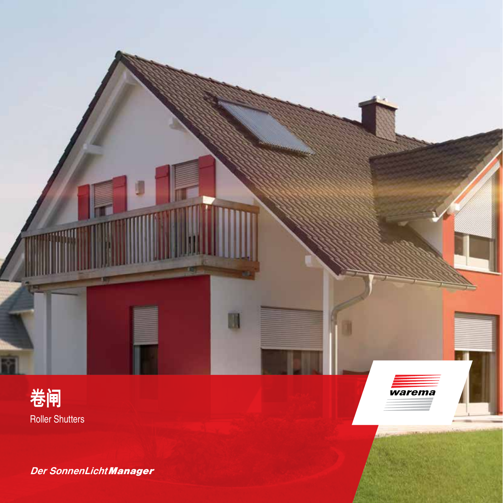





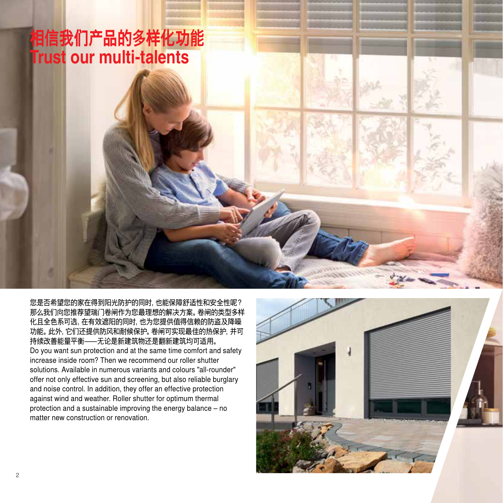# **相信我们产品的多样化功能 Trust our multi-talents**

您是否希望您的家在得到阳光防护的同时,也能保障舒适性和安全性呢? 那么我们向您推荐望瑞门卷闸作为您最理想的解决方案。卷闸的类型多样 化且全色系可选,在有效遮阳的同时,也为您提供值得信赖的防盗及降噪 功能。此外,它们还提供防风和耐候保护。卷闸可实现最佳的热保护,并可 持续改善能量平衡—无论是新建筑物还是翻新建筑均可适用。 Do you want sun protection and at the same time comfort and safety increase inside room? Then we recommend our roller shutter solutions. Available in numerous variants and colours "all-rounder" offer not only effective sun and screening, but also reliable burglary and noise control. In addition, they offer an effective protection against wind and weather. Roller shutter for optimum thermal protection and a sustainable improving the energy balance  $-$  no matter new construction or renovation.

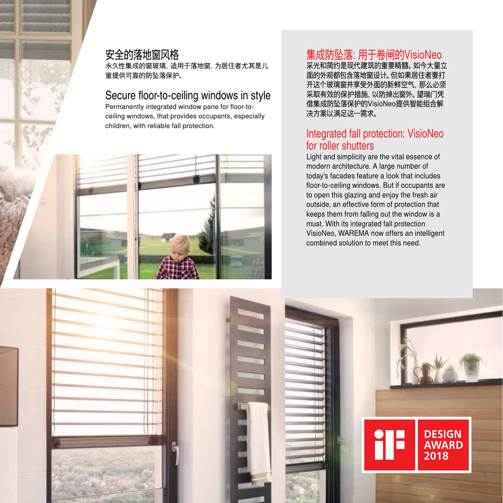#### 安全的落地窗风格

永久性集成的窗玻璃,适用于落地窗,为居住者尤其是儿 童提供可靠的防坠落保护。

#### Secure floor-to-ceiling windows in style

Permanently integrated window pane for floor-toceiling windows, that provides occupants, especially children, with reliable fall protection.



## 集成防坠落:用于卷闸的VisioNeo

……………………………………<br>采光和简约是现代建筑的重要精髓。如今大量立 面的外观都包含落地窗设计。但如果居住者要打 开这个玻璃窗并享受外面的新鲜空气,那么必须 采取有效的保护措施,以防掉出窗外。望瑞门凭 借集成防坠落保护的VisioNeo提供智能组合解 决方案以满足这一需求。

#### Integrated fall protection: VisioNeo for roller shutters

Light and simplicity are the vital essence of modern architecture. A large number of today's facades feature a look that includes floor-to-ceiling windows. But if occupants are to open this glazing and enjoy the fresh air outside, an effective form of protection that keeps them from falling out the window is a must. With its integrated fall protection VisioNeo, WAREMA now offers an intelligent combined solution to meet this need.

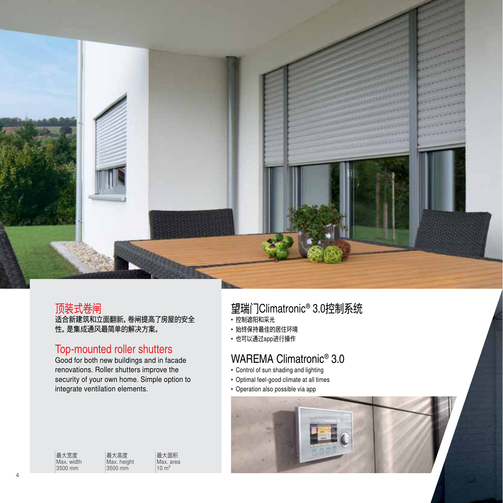

#### 顶装式卷闸

适合新建筑和立面翻新。卷闸提高了房屋的安全 性。是集成通风最简单的解决方案。

#### Top-mounted roller shutters

Good for both new buildings and in facade renovations. Roller shutters improve the security of your own home. Simple option to integrate ventilation elements.

| 最大宽度       | 最大高度        | 最大面积      |
|------------|-------------|-----------|
| Max. width | Max. height | Max. area |
| 3500 mm    | 3500 mm     | $10 m^2$  |

望瑞门Climatronic® 3.0控制系统

- 控制遮阳和采光
- 始终保持最佳的居住环境
- 也可以通过app进行操作

## WAREMA Climatronic® 3.0

- Control of sun shading and lighting
- Optimal feel-good climate at all times
- Operation also possible via app

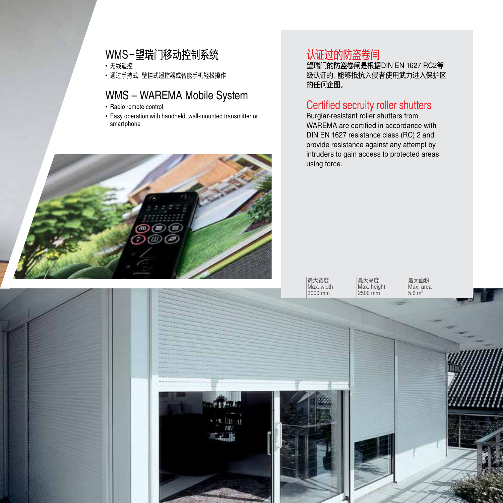## WMS-望瑞门移动控制系统

• 无线遥控

• 通过手持式,壁挂式遥控器或智能手机轻松操作

### WMS – WAREMA Mobile System

- Radio remote control
- Easy operation with handheld, wall-mounted transmitter or smartphone



## 认证过的防盗卷闸

望瑞门的防盗卷闸是根据DIN EN 1627 RC2等 级认证的,能够抵抗入侵者使用武力进入保护区 的任何企图。

#### Certified secruity roller shutters

Burglar-resistant roller shutters from WAREMA are certified in accordance with DIN EN 1627 resistance class (RC) 2 and provide resistance against any attempt by intruders to gain access to protected areas using force.

最大宽度 Max. width 3000 mm

最大高度 Max. height

最大面积 Max. area  $5.6 \text{ m}^2$ 

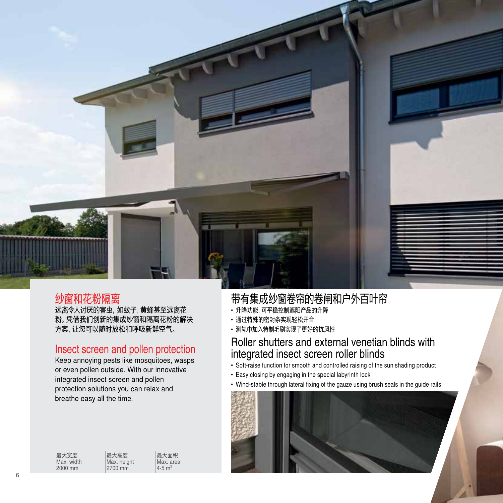

### 纱窗和花粉隔离

远离令人讨厌的害虫,如蚊子,黄蜂甚至远离花 粉。凭借我们创新的集成纱窗和隔离花粉的解决 方案,让您可以随时放松和呼吸新鲜空气。

#### Insect screen and pollen protection

Keep annoying pests like mosquitoes, wasps or even pollen outside. With our innovative integrated insect screen and pollen protection solutions you can relax and breathe easy all the time.

| 最大宽度       | 最大高度        | 最大面积                   |
|------------|-------------|------------------------|
| Max. width | Max, height | Max. area              |
| 2000 mm    | 2700 mm     | $4 - 5$ m <sup>2</sup> |

## 带有集成纱窗卷帘的卷闸和户外百叶帘

- 升降功能,可平稳控制遮阳产品的升降
- 通过特殊的密封条实现轻松开合
- 测轨中加入特制毛刷实现了更好的抗风性

#### Roller shutters and external venetian blinds with integrated insect screen roller blinds

- Soft-raise function for smooth and controlled raising of the sun shading product
- Easy closing by engaging in the special labyrinth lock
- Wind-stable through lateral fixing of the gauze using brush seals in the guide rails

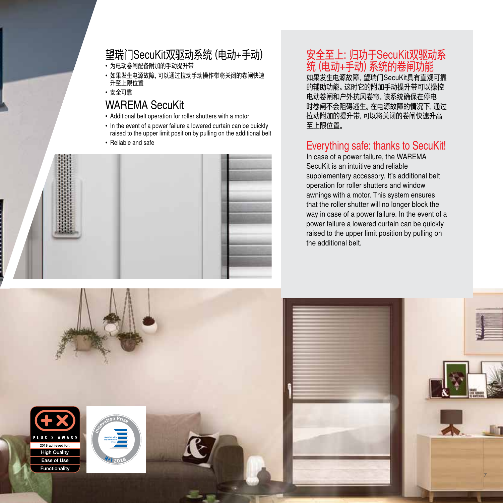## 望瑞门SecuKit双驱动系统(电动+手动)

- 为电动卷闸配备附加的手动提升带
- 如果发生电源故障,可以通过拉动手动操作带将关闭的卷闸快速 升至上限位置
- 安全可靠

## WAREMA SecuKit

- Additional belt operation for roller shutters with a motor
- In the event of a power failure a lowered curtain can be quickly raised to the upper limit position by pulling on the additional belt
- Reliable and safe



## 安全至上:归功于SecuKit双驱动系 统(电动+手动)系统的卷闸功能

如果发生电源故障,望瑞门SecuKit具有直观可靠 的辅助功能。这时它的附加手动提升带可以操控 电动卷闸和户外抗风卷帘。该系统确保在停电 时卷闸不会阻碍逃生。在电源故障的情况下,通过 拉动附加的提升带,可以将关闭的卷闸快速升高 至上限位置。

## Everything safe: thanks to SecuKit!

In case of a power failure, the WAREMA SecuKit is an intuitive and reliable supplementary accessory. It's additional belt operation for roller shutters and window awnings with a motor. This system ensures that the roller shutter will no longer block the way in case of a power failure. In the event of a power failure a lowered curtain can be quickly raised to the upper limit position by pulling on the additional belt.